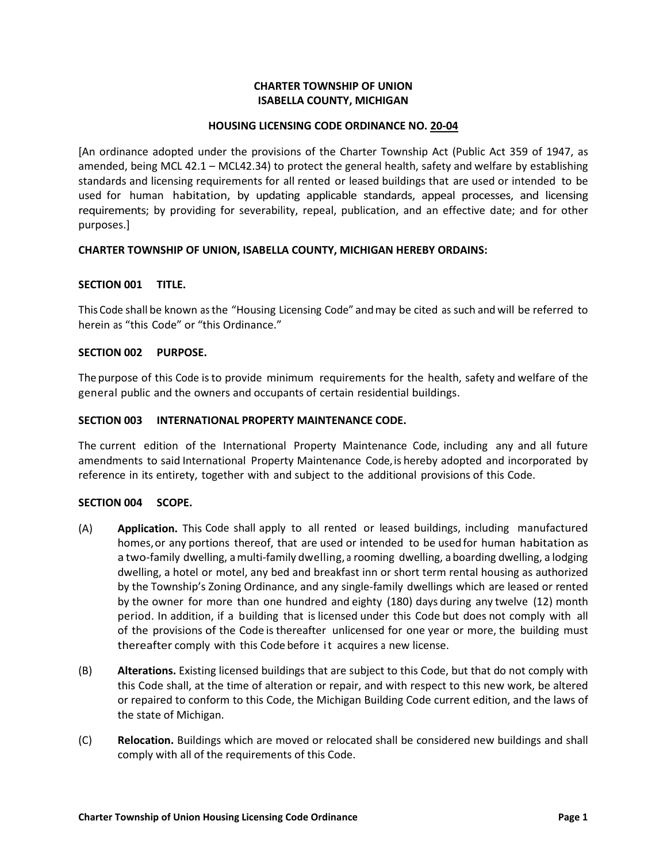# **CHARTER TOWNSHIP OF UNION ISABELLA COUNTY, MICHIGAN**

## **HOUSING LICENSING CODE ORDINANCE NO. 20-04**

[An ordinance adopted under the provisions of the Charter Township Act (Public Act 359 of 1947, as amended, being MCL 42.1 – MCL42.34) to protect the general health, safety and welfare by establishing standards and licensing requirements for all rented or leased buildings that are used or intended to be used for human habitation, by updating applicable standards, appeal processes, and licensing requirements; by providing for severability, repeal, publication, and an effective date; and for other purposes.]

# **CHARTER TOWNSHIP OF UNION, ISABELLA COUNTY, MICHIGAN HEREBY ORDAINS:**

## **SECTION 001 TITLE.**

This Code shall be known as the "Housing Licensing Code" andmay be cited as such and will be referred to herein as "this Code" or "this Ordinance."

## **SECTION 002 PURPOSE.**

The purpose of this Code isto provide minimum requirements for the health, safety and welfare of the general public and the owners and occupants of certain residential buildings.

### **SECTION 003 INTERNATIONAL PROPERTY MAINTENANCE CODE.**

The current edition of the International Property Maintenance Code, including any and all future amendments to said International Property Maintenance Code,is hereby adopted and incorporated by reference in its entirety, together with and subject to the additional provisions of this Code.

### **SECTION 004 SCOPE.**

- (A) **Application.** This Code shall apply to all rented or leased buildings, including manufactured homes,or any portions thereof, that are used or intended to be used for human habitation as a two-family dwelling, amulti-family dwelling, a rooming dwelling, aboarding dwelling, a lodging dwelling, a hotel or motel, any bed and breakfast inn or short term rental housing as authorized by the Township's Zoning Ordinance, and any single-family dwellings which are leased or rented by the owner for more than one hundred and eighty (180) days during any twelve (12) month period. In addition, if a building that is licensed under this Code but does not comply with all of the provisions of the Code is thereafter unlicensed for one year or more, the building must thereafter comply with this Code before it acquires a new license.
- (B) **Alterations.** Existing licensed buildings that are subject to this Code, but that do not comply with this Code shall, at the time of alteration or repair, and with respect to this new work, be altered or repaired to conform to this Code, the Michigan Building Code current edition, and the laws of the state of Michigan.
- (C) **Relocation.** Buildings which are moved or relocated shall be considered new buildings and shall comply with all of the requirements of this Code.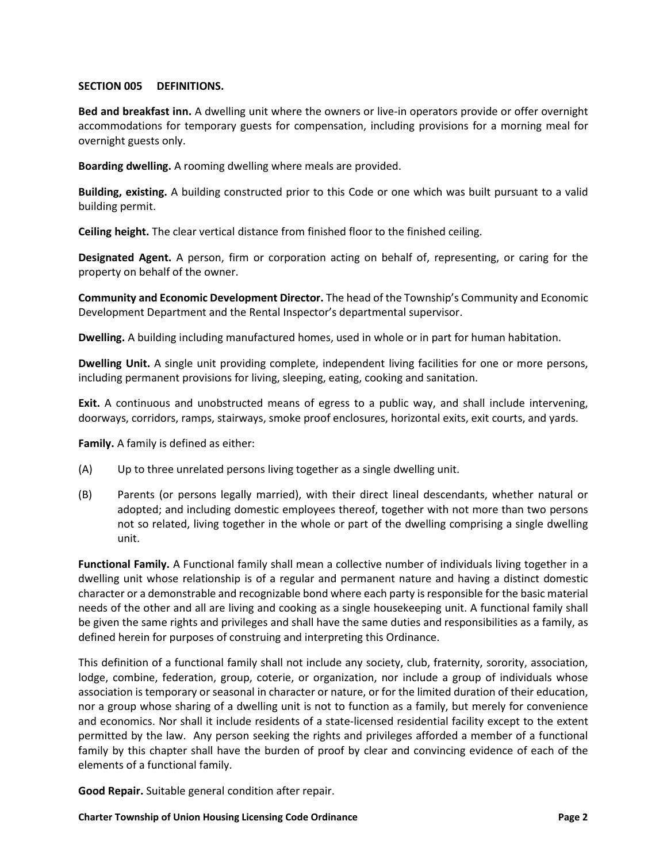## **SECTION 005 DEFINITIONS.**

**Bed and breakfast inn.** A dwelling unit where the owners or live-in operators provide or offer overnight accommodations for temporary guests for compensation, including provisions for a morning meal for overnight guests only.

**Boarding dwelling.** A rooming dwelling where meals are provided.

**Building, existing.** A building constructed prior to this Code or one which was built pursuant to a valid building permit.

**Ceiling height.** The clear vertical distance from finished floor to the finished ceiling.

**Designated Agent.** A person, firm or corporation acting on behalf of, representing, or caring for the property on behalf of the owner.

**Community and Economic Development Director.** The head of the Township's Community and Economic Development Department and the Rental Inspector's departmental supervisor.

**Dwelling.** A building including manufactured homes, used in whole or in part for human habitation.

**Dwelling Unit.** A single unit providing complete, independent living facilities for one or more persons, including permanent provisions for living, sleeping, eating, cooking and sanitation.

**Exit.** A continuous and unobstructed means of egress to a public way, and shall include intervening, doorways, corridors, ramps, stairways, smoke proof enclosures, horizontal exits, exit courts, and yards.

**Family.** A family is defined as either:

- (A) Up to three unrelated persons living together as a single dwelling unit.
- (B) Parents (or persons legally married), with their direct lineal descendants, whether natural or adopted; and including domestic employees thereof, together with not more than two persons not so related, living together in the whole or part of the dwelling comprising a single dwelling unit.

**Functional Family.** A Functional family shall mean a collective number of individuals living together in a dwelling unit whose relationship is of a regular and permanent nature and having a distinct domestic character or a demonstrable and recognizable bond where each party is responsible for the basic material needs of the other and all are living and cooking as a single housekeeping unit. A functional family shall be given the same rights and privileges and shall have the same duties and responsibilities as a family, as defined herein for purposes of construing and interpreting this Ordinance.

This definition of a functional family shall not include any society, club, fraternity, sorority, association, lodge, combine, federation, group, coterie, or organization, nor include a group of individuals whose association is temporary or seasonal in character or nature, or for the limited duration of their education, nor a group whose sharing of a dwelling unit is not to function as a family, but merely for convenience and economics. Nor shall it include residents of a state-licensed residential facility except to the extent permitted by the law. Any person seeking the rights and privileges afforded a member of a functional family by this chapter shall have the burden of proof by clear and convincing evidence of each of the elements of a functional family.

**Good Repair.** Suitable general condition after repair.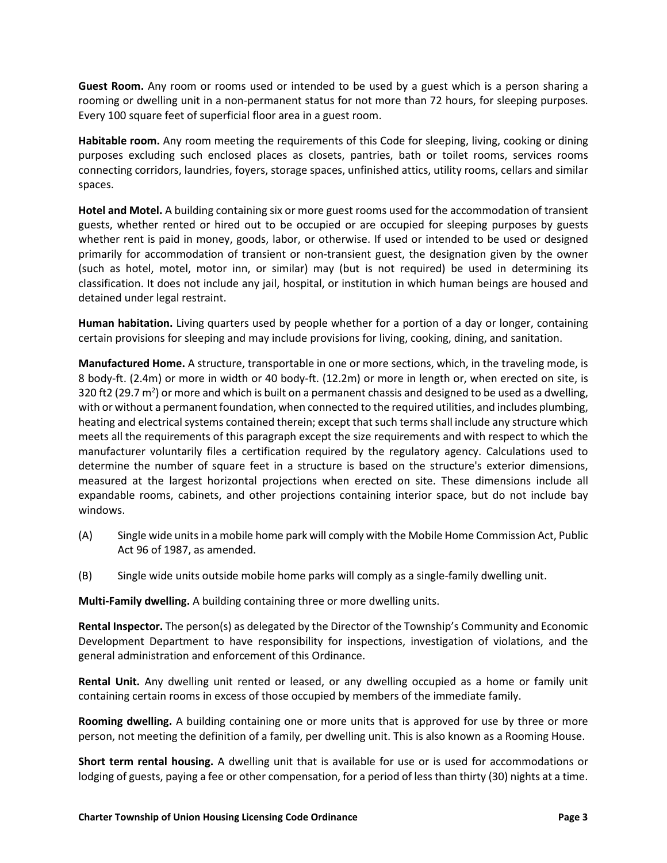**Guest Room.** Any room or rooms used or intended to be used by a guest which is a person sharing a rooming or dwelling unit in a non-permanent status for not more than 72 hours, for sleeping purposes. Every 100 square feet of superficial floor area in a guest room.

**Habitable room.** Any room meeting the requirements of this Code for sleeping, living, cooking or dining purposes excluding such enclosed places as closets, pantries, bath or toilet rooms, services rooms connecting corridors, laundries, foyers, storage spaces, unfinished attics, utility rooms, cellars and similar spaces.

**Hotel and Motel.** A building containing six or more guest rooms used for the accommodation of transient guests, whether rented or hired out to be occupied or are occupied for sleeping purposes by guests whether rent is paid in money, goods, labor, or otherwise. If used or intended to be used or designed primarily for accommodation of transient or non-transient guest, the designation given by the owner (such as hotel, motel, motor inn, or similar) may (but is not required) be used in determining its classification. It does not include any jail, hospital, or institution in which human beings are housed and detained under legal restraint.

**Human habitation.** Living quarters used by people whether for a portion of a day or longer, containing certain provisions for sleeping and may include provisions for living, cooking, dining, and sanitation.

**Manufactured Home.** A structure, transportable in one or more sections, which, in the traveling mode, is 8 body-ft. (2.4m) or more in width or 40 body-ft. (12.2m) or more in length or, when erected on site, is 320 ft2 (29.7  $m^2$ ) or more and which is built on a permanent chassis and designed to be used as a dwelling, with or without a permanent foundation, when connected to the required utilities, and includes plumbing, heating and electrical systems contained therein; except that such terms shall include any structure which meets all the requirements of this paragraph except the size requirements and with respect to which the manufacturer voluntarily files a certification required by the regulatory agency. Calculations used to determine the number of square feet in a structure is based on the structure's exterior dimensions, measured at the largest horizontal projections when erected on site. These dimensions include all expandable rooms, cabinets, and other projections containing interior space, but do not include bay windows.

- (A) Single wide units in a mobile home park will comply with the Mobile Home Commission Act, Public Act 96 of 1987, as amended.
- (B) Single wide units outside mobile home parks will comply as a single-family dwelling unit.

**Multi-Family dwelling.** A building containing three or more dwelling units.

**Rental Inspector.** The person(s) as delegated by the Director of the Township's Community and Economic Development Department to have responsibility for inspections, investigation of violations, and the general administration and enforcement of this Ordinance.

**Rental Unit.** Any dwelling unit rented or leased, or any dwelling occupied as a home or family unit containing certain rooms in excess of those occupied by members of the immediate family.

**Rooming dwelling.** A building containing one or more units that is approved for use by three or more person, not meeting the definition of a family, per dwelling unit. This is also known as a Rooming House.

**Short term rental housing.** A dwelling unit that is available for use or is used for accommodations or lodging of guests, paying a fee or other compensation, for a period of less than thirty (30) nights at a time.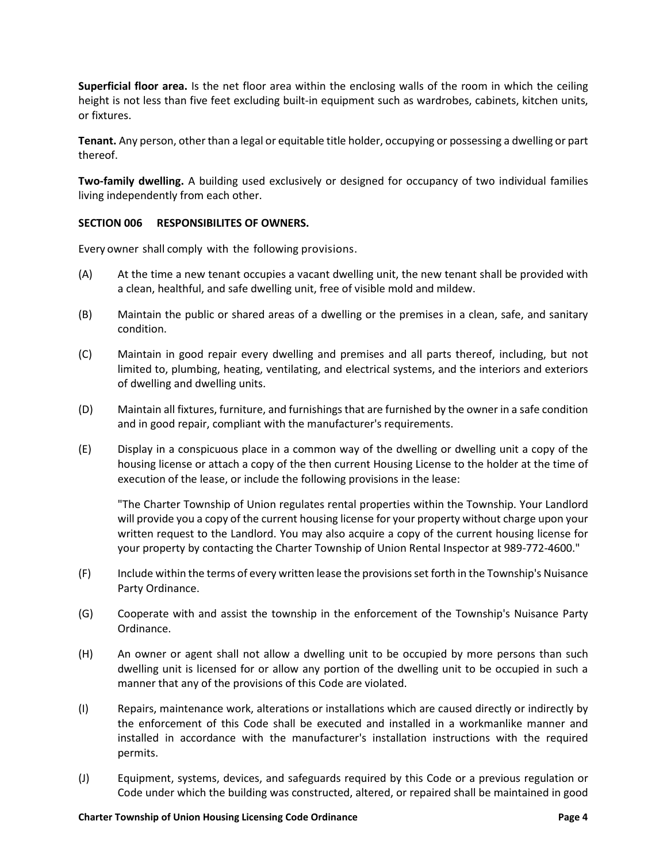**Superficial floor area.** Is the net floor area within the enclosing walls of the room in which the ceiling height is not less than five feet excluding built-in equipment such as wardrobes, cabinets, kitchen units, or fixtures.

**Tenant.** Any person, other than a legal or equitable title holder, occupying or possessing a dwelling or part thereof.

**Two-family dwelling.** A building used exclusively or designed for occupancy of two individual families living independently from each other.

## **SECTION 006 RESPONSIBILITES OF OWNERS.**

Every owner shall comply with the following provisions.

- (A) At the time a new tenant occupies a vacant dwelling unit, the new tenant shall be provided with a clean, healthful, and safe dwelling unit, free of visible mold and mildew.
- (B) Maintain the public or shared areas of a dwelling or the premises in a clean, safe, and sanitary condition.
- (C) Maintain in good repair every dwelling and premises and all parts thereof, including, but not limited to, plumbing, heating, ventilating, and electrical systems, and the interiors and exteriors of dwelling and dwelling units.
- (D) Maintain all fixtures, furniture, and furnishings that are furnished by the owner in a safe condition and in good repair, compliant with the manufacturer's requirements.
- (E) Display in a conspicuous place in a common way of the dwelling or dwelling unit a copy of the housing license or attach a copy of the then current Housing License to the holder at the time of execution of the lease, or include the following provisions in the lease:

"The Charter Township of Union regulates rental properties within the Township. Your Landlord will provide you a copy of the current housing license for your property without charge upon your written request to the Landlord. You may also acquire a copy of the current housing license for your property by contacting the Charter Township of Union Rental Inspector at 989-772-4600."

- (F) Include within the terms of every written lease the provisions set forth in the Township's Nuisance Party Ordinance.
- (G) Cooperate with and assist the township in the enforcement of the Township's Nuisance Party Ordinance.
- (H) An owner or agent shall not allow a dwelling unit to be occupied by more persons than such dwelling unit is licensed for or allow any portion of the dwelling unit to be occupied in such a manner that any of the provisions of this Code are violated.
- (I) Repairs, maintenance work, alterations or installations which are caused directly or indirectly by the enforcement of this Code shall be executed and installed in a workmanlike manner and installed in accordance with the manufacturer's installation instructions with the required permits.
- (J) Equipment, systems, devices, and safeguards required by this Code or a previous regulation or Code under which the building was constructed, altered, or repaired shall be maintained in good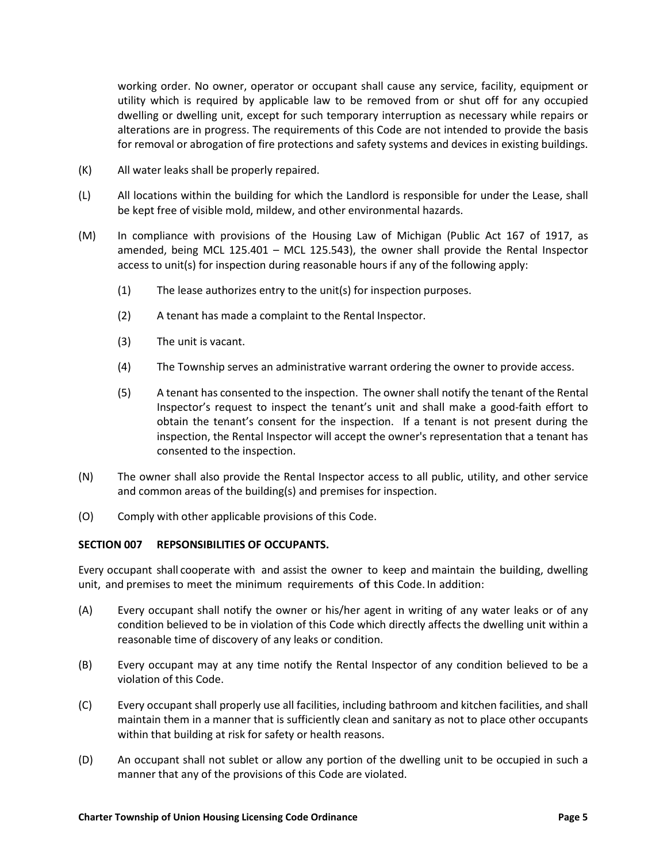working order. No owner, operator or occupant shall cause any service, facility, equipment or utility which is required by applicable law to be removed from or shut off for any occupied dwelling or dwelling unit, except for such temporary interruption as necessary while repairs or alterations are in progress. The requirements of this Code are not intended to provide the basis for removal or abrogation of fire protections and safety systems and devices in existing buildings.

- (K) All water leaks shall be properly repaired.
- (L) All locations within the building for which the Landlord is responsible for under the Lease, shall be kept free of visible mold, mildew, and other environmental hazards.
- (M) In compliance with provisions of the Housing Law of Michigan (Public Act 167 of 1917, as amended, being MCL 125.401 – MCL 125.543), the owner shall provide the Rental Inspector access to unit(s) for inspection during reasonable hours if any of the following apply:
	- (1) The lease authorizes entry to the unit(s) for inspection purposes.
	- (2) A tenant has made a complaint to the Rental Inspector.
	- (3) The unit is vacant.
	- (4) The Township serves an administrative warrant ordering the owner to provide access.
	- (5) A tenant has consented to the inspection. The owner shall notify the tenant of the Rental Inspector's request to inspect the tenant's unit and shall make a good-faith effort to obtain the tenant's consent for the inspection. If a tenant is not present during the inspection, the Rental Inspector will accept the owner's representation that a tenant has consented to the inspection.
- (N) The owner shall also provide the Rental Inspector access to all public, utility, and other service and common areas of the building(s) and premises for inspection.
- (O) Comply with other applicable provisions of this Code.

### **SECTION 007 REPSONSIBILITIES OF OCCUPANTS.**

Every occupant shall cooperate with and assist the owner to keep and maintain the building, dwelling unit, and premises to meet the minimum requirements of this Code. In addition:

- (A) Every occupant shall notify the owner or his/her agent in writing of any water leaks or of any condition believed to be in violation of this Code which directly affects the dwelling unit within a reasonable time of discovery of any leaks or condition.
- (B) Every occupant may at any time notify the Rental Inspector of any condition believed to be a violation of this Code.
- (C) Every occupant shall properly use all facilities, including bathroom and kitchen facilities, and shall maintain them in a manner that is sufficiently clean and sanitary as not to place other occupants within that building at risk for safety or health reasons.
- (D) An occupant shall not sublet or allow any portion of the dwelling unit to be occupied in such a manner that any of the provisions of this Code are violated.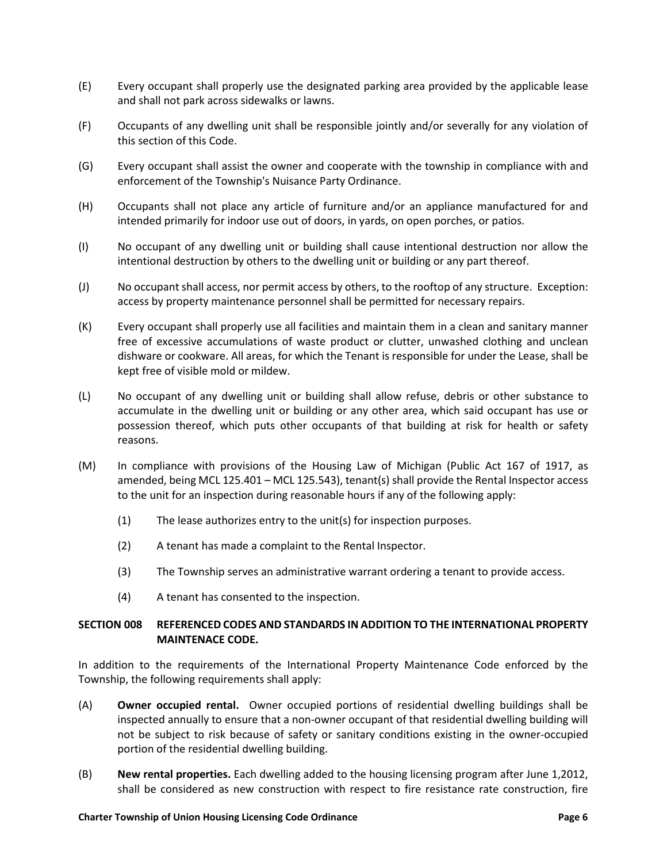- (E) Every occupant shall properly use the designated parking area provided by the applicable lease and shall not park across sidewalks or lawns.
- (F) Occupants of any dwelling unit shall be responsible jointly and/or severally for any violation of this section of this Code.
- (G) Every occupant shall assist the owner and cooperate with the township in compliance with and enforcement of the Township's Nuisance Party Ordinance.
- (H) Occupants shall not place any article of furniture and/or an appliance manufactured for and intended primarily for indoor use out of doors, in yards, on open porches, or patios.
- (I) No occupant of any dwelling unit or building shall cause intentional destruction nor allow the intentional destruction by others to the dwelling unit or building or any part thereof.
- (J) No occupant shall access, nor permit access by others, to the rooftop of any structure. Exception: access by property maintenance personnel shall be permitted for necessary repairs.
- (K) Every occupant shall properly use all facilities and maintain them in a clean and sanitary manner free of excessive accumulations of waste product or clutter, unwashed clothing and unclean dishware or cookware. All areas, for which the Tenant is responsible for under the Lease, shall be kept free of visible mold or mildew.
- (L) No occupant of any dwelling unit or building shall allow refuse, debris or other substance to accumulate in the dwelling unit or building or any other area, which said occupant has use or possession thereof, which puts other occupants of that building at risk for health or safety reasons.
- (M) In compliance with provisions of the Housing Law of Michigan (Public Act 167 of 1917, as amended, being MCL 125.401 – MCL 125.543), tenant(s) shall provide the Rental Inspector access to the unit for an inspection during reasonable hours if any of the following apply:
	- (1) The lease authorizes entry to the unit(s) for inspection purposes.
	- (2) A tenant has made a complaint to the Rental Inspector.
	- (3) The Township serves an administrative warrant ordering a tenant to provide access.
	- (4) A tenant has consented to the inspection.

# **SECTION 008 REFERENCED CODES AND STANDARDS IN ADDITION TO THE INTERNATIONAL PROPERTY MAINTENACE CODE.**

In addition to the requirements of the International Property Maintenance Code enforced by the Township, the following requirements shall apply:

- (A) **Owner occupied rental.** Owner occupied portions of residential dwelling buildings shall be inspected annually to ensure that a non-owner occupant of that residential dwelling building will not be subject to risk because of safety or sanitary conditions existing in the owner-occupied portion of the residential dwelling building.
- (B) **New rental properties.** Each dwelling added to the housing licensing program after June 1,2012, shall be considered as new construction with respect to fire resistance rate construction, fire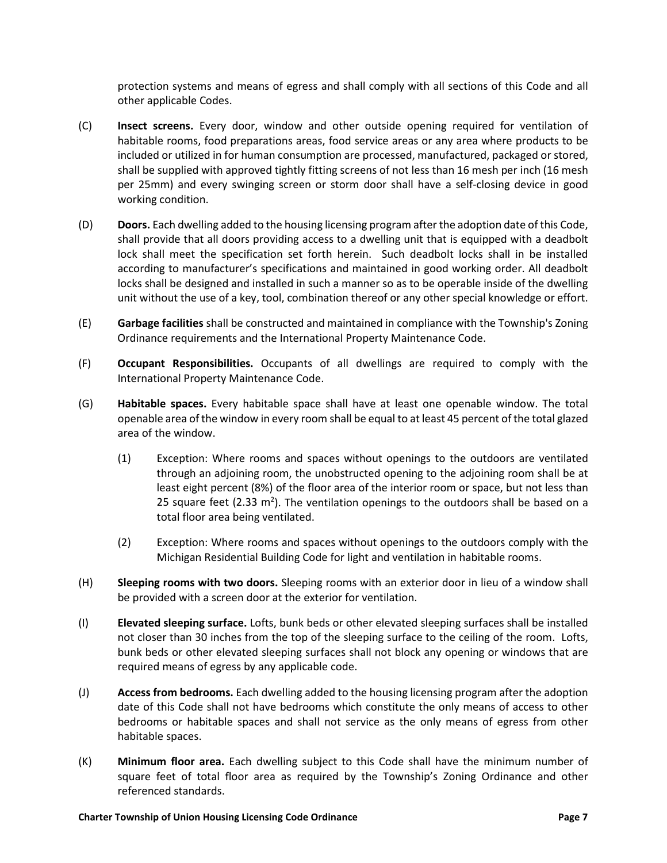protection systems and means of egress and shall comply with all sections of this Code and all other applicable Codes.

- (C) **Insect screens.** Every door, window and other outside opening required for ventilation of habitable rooms, food preparations areas, food service areas or any area where products to be included or utilized in for human consumption are processed, manufactured, packaged or stored, shall be supplied with approved tightly fitting screens of not less than 16 mesh per inch (16 mesh per 25mm) and every swinging screen or storm door shall have a self-closing device in good working condition.
- (D) **Doors.** Each dwelling added to the housing licensing program after the adoption date of this Code, shall provide that all doors providing access to a dwelling unit that is equipped with a deadbolt lock shall meet the specification set forth herein. Such deadbolt locks shall in be installed according to manufacturer's specifications and maintained in good working order. All deadbolt locks shall be designed and installed in such a manner so as to be operable inside of the dwelling unit without the use of a key, tool, combination thereof or any other special knowledge or effort.
- (E) **Garbage facilities** shall be constructed and maintained in compliance with the Township's Zoning Ordinance requirements and the International Property Maintenance Code.
- (F) **Occupant Responsibilities.** Occupants of all dwellings are required to comply with the International Property Maintenance Code.
- (G) **Habitable spaces.** Every habitable space shall have at least one openable window. The total openable area of the window in every room shall be equal to at least 45 percent of the total glazed area of the window.
	- (1) Exception: Where rooms and spaces without openings to the outdoors are ventilated through an adjoining room, the unobstructed opening to the adjoining room shall be at least eight percent (8%) of the floor area of the interior room or space, but not less than 25 square feet (2.33  $m^2$ ). The ventilation openings to the outdoors shall be based on a total floor area being ventilated.
	- (2) Exception: Where rooms and spaces without openings to the outdoors comply with the Michigan Residential Building Code for light and ventilation in habitable rooms.
- (H) **Sleeping rooms with two doors.** Sleeping rooms with an exterior door in lieu of a window shall be provided with a screen door at the exterior for ventilation.
- (I) **Elevated sleeping surface.** Lofts, bunk beds or other elevated sleeping surfaces shall be installed not closer than 30 inches from the top of the sleeping surface to the ceiling of the room. Lofts, bunk beds or other elevated sleeping surfaces shall not block any opening or windows that are required means of egress by any applicable code.
- (J) **Access from bedrooms.** Each dwelling added to the housing licensing program after the adoption date of this Code shall not have bedrooms which constitute the only means of access to other bedrooms or habitable spaces and shall not service as the only means of egress from other habitable spaces.
- (K) **Minimum floor area.** Each dwelling subject to this Code shall have the minimum number of square feet of total floor area as required by the Township's Zoning Ordinance and other referenced standards.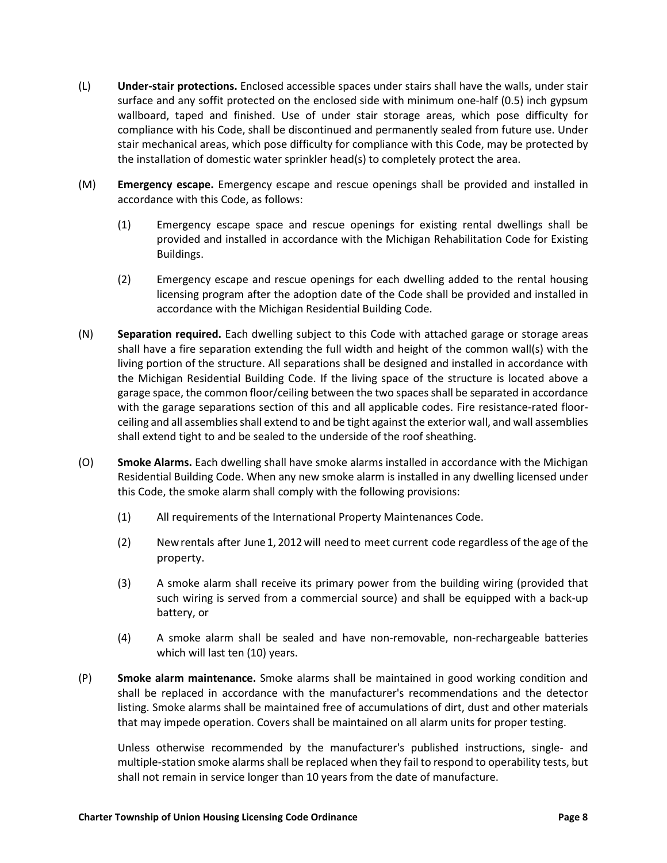- (L) **Under-stair protections.** Enclosed accessible spaces under stairs shall have the walls, under stair surface and any soffit protected on the enclosed side with minimum one-half (0.5) inch gypsum wallboard, taped and finished. Use of under stair storage areas, which pose difficulty for compliance with his Code, shall be discontinued and permanently sealed from future use. Under stair mechanical areas, which pose difficulty for compliance with this Code, may be protected by the installation of domestic water sprinkler head(s) to completely protect the area.
- (M) **Emergency escape.** Emergency escape and rescue openings shall be provided and installed in accordance with this Code, as follows:
	- (1) Emergency escape space and rescue openings for existing rental dwellings shall be provided and installed in accordance with the Michigan Rehabilitation Code for Existing Buildings.
	- (2) Emergency escape and rescue openings for each dwelling added to the rental housing licensing program after the adoption date of the Code shall be provided and installed in accordance with the Michigan Residential Building Code.
- (N) **Separation required.** Each dwelling subject to this Code with attached garage or storage areas shall have a fire separation extending the full width and height of the common wall(s) with the living portion of the structure. All separations shall be designed and installed in accordance with the Michigan Residential Building Code. If the living space of the structure is located above a garage space, the common floor/ceiling between the two spaces shall be separated in accordance with the garage separations section of this and all applicable codes. Fire resistance-rated floorceiling and all assemblies shall extend to and be tight against the exterior wall, and wall assemblies shall extend tight to and be sealed to the underside of the roof sheathing.
- (O) **Smoke Alarms.** Each dwelling shall have smoke alarms installed in accordance with the Michigan Residential Building Code. When any new smoke alarm is installed in any dwelling licensed under this Code, the smoke alarm shall comply with the following provisions:
	- (1) All requirements of the International Property Maintenances Code.
	- (2) Newrentals after June 1, 2012 will needto meet current code regardless of the age of the property.
	- (3) A smoke alarm shall receive its primary power from the building wiring (provided that such wiring is served from a commercial source) and shall be equipped with a back-up battery, or
	- (4) A smoke alarm shall be sealed and have non-removable, non-rechargeable batteries which will last ten (10) years.
- (P) **Smoke alarm maintenance.** Smoke alarms shall be maintained in good working condition and shall be replaced in accordance with the manufacturer's recommendations and the detector listing. Smoke alarms shall be maintained free of accumulations of dirt, dust and other materials that may impede operation. Covers shall be maintained on all alarm units for proper testing.

Unless otherwise recommended by the manufacturer's published instructions, single- and multiple-station smoke alarms shall be replaced when they fail to respond to operability tests, but shall not remain in service longer than 10 years from the date of manufacture.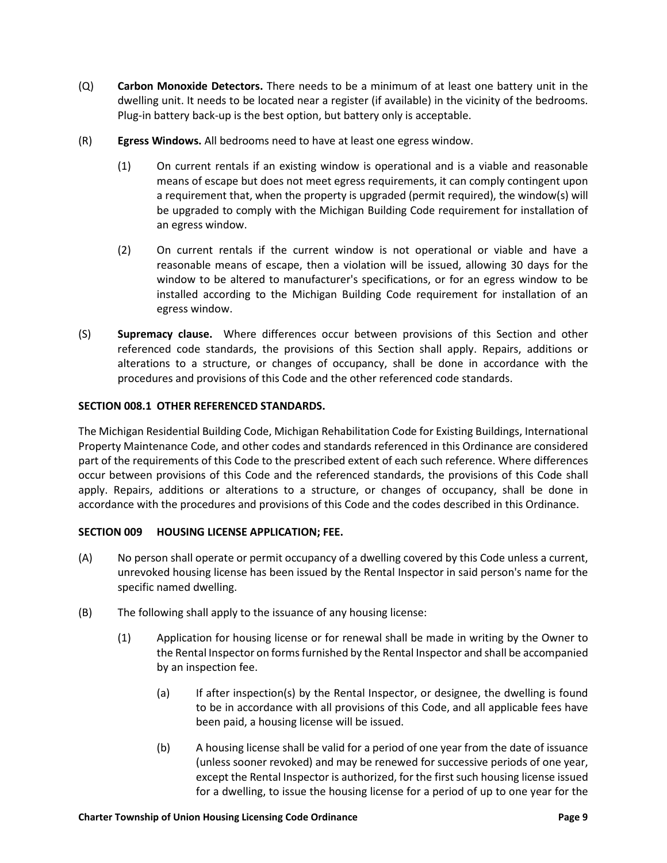- (Q) **Carbon Monoxide Detectors.** There needs to be a minimum of at least one battery unit in the dwelling unit. It needs to be located near a register (if available) in the vicinity of the bedrooms. Plug-in battery back-up is the best option, but battery only is acceptable.
- (R) **Egress Windows.** All bedrooms need to have at least one egress window.
	- (1) On current rentals if an existing window is operational and is a viable and reasonable means of escape but does not meet egress requirements, it can comply contingent upon a requirement that, when the property is upgraded (permit required), the window(s) will be upgraded to comply with the Michigan Building Code requirement for installation of an egress window.
	- (2) On current rentals if the current window is not operational or viable and have a reasonable means of escape, then a violation will be issued, allowing 30 days for the window to be altered to manufacturer's specifications, or for an egress window to be installed according to the Michigan Building Code requirement for installation of an egress window.
- (S) **Supremacy clause.** Where differences occur between provisions of this Section and other referenced code standards, the provisions of this Section shall apply. Repairs, additions or alterations to a structure, or changes of occupancy, shall be done in accordance with the procedures and provisions of this Code and the other referenced code standards.

## **SECTION 008.1 OTHER REFERENCED STANDARDS.**

The Michigan Residential Building Code, Michigan Rehabilitation Code for Existing Buildings, International Property Maintenance Code, and other codes and standards referenced in this Ordinance are considered part of the requirements of this Code to the prescribed extent of each such reference. Where differences occur between provisions of this Code and the referenced standards, the provisions of this Code shall apply. Repairs, additions or alterations to a structure, or changes of occupancy, shall be done in accordance with the procedures and provisions of this Code and the codes described in this Ordinance.

### **SECTION 009 HOUSING LICENSE APPLICATION; FEE.**

- (A) No person shall operate or permit occupancy of a dwelling covered by this Code unless a current, unrevoked housing license has been issued by the Rental Inspector in said person's name for the specific named dwelling.
- (B) The following shall apply to the issuance of any housing license:
	- (1) Application for housing license or for renewal shall be made in writing by the Owner to the Rental Inspector on forms furnished by the Rental Inspector and shall be accompanied by an inspection fee.
		- (a) If after inspection(s) by the Rental Inspector, or designee, the dwelling is found to be in accordance with all provisions of this Code, and all applicable fees have been paid, a housing license will be issued.
		- (b) A housing license shall be valid for a period of one year from the date of issuance (unless sooner revoked) and may be renewed for successive periods of one year, except the Rental Inspector is authorized, for the first such housing license issued for a dwelling, to issue the housing license for a period of up to one year for the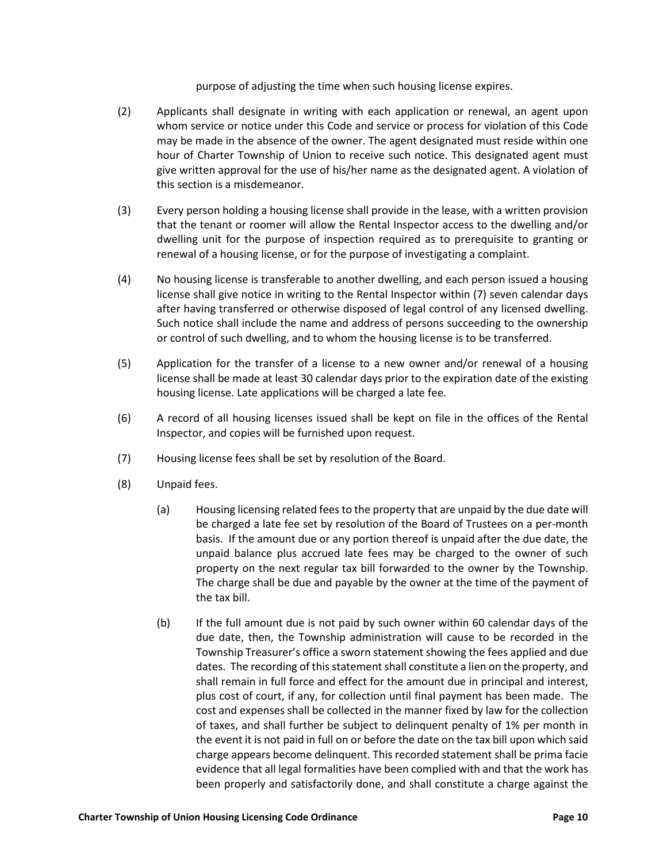purpose of adjusting the time when such housing license expires.

- (2) Applicants shall designate in writing with each application or renewal, an agent upon whom service or notice under this Code and service or process for violation of this Code may be made in the absence of the owner. The agent designated must reside within one hour of Charter Township of Union to receive such notice. This designated agent must give written approval for the use of his/her name as the designated agent. A violation of this section is a misdemeanor.
- (3) Every person holding a housing license shall provide in the lease, with a written provision that the tenant or roomer will allow the Rental Inspector access to the dwelling and/or dwelling unit for the purpose of inspection required as to prerequisite to granting or renewal of a housing license, or for the purpose of investigating a complaint.
- (4) No housing license is transferable to another dwelling, and each person issued a housing license shall give notice in writing to the Rental Inspector within (7) seven calendar days after having transferred or otherwise disposed of legal control of any licensed dwelling. Such notice shall include the name and address of persons succeeding to the ownership or control of such dwelling, and to whom the housing license is to be transferred.
- (5) Application for the transfer of a license to a new owner and/or renewal of a housing license shall be made at least 30 calendar days prior to the expiration date of the existing housing license. Late applications will be charged a late fee.
- (6) A record of all housing licenses issued shall be kept on file in the offices of the Rental Inspector, and copies will be furnished upon request.
- (7) Housing license fees shall be set by resolution of the Board.
- (8) Unpaid fees.
	- (a) Housing licensing related fees to the property that are unpaid by the due date will be charged a late fee set by resolution of the Board of Trustees on a per-month basis. If the amount due or any portion thereof is unpaid after the due date, the unpaid balance plus accrued late fees may be charged to the owner of such property on the next regular tax bill forwarded to the owner by the Township. The charge shall be due and payable by the owner at the time of the payment of the tax bill.
	- (b) If the full amount due is not paid by such owner within 60 calendar days of the due date, then, the Township administration will cause to be recorded in the Township Treasurer's office a sworn statement showing the fees applied and due dates. The recording of this statement shall constitute a lien on the property, and shall remain in full force and effect for the amount due in principal and interest, plus cost of court, if any, for collection until final payment has been made. The cost and expenses shall be collected in the manner fixed by law for the collection of taxes, and shall further be subject to delinquent penalty of 1% per month in the event it is not paid in full on or before the date on the tax bill upon which said charge appears become delinquent. This recorded statement shall be prima facie evidence that all legal formalities have been complied with and that the work has been properly and satisfactorily done, and shall constitute a charge against the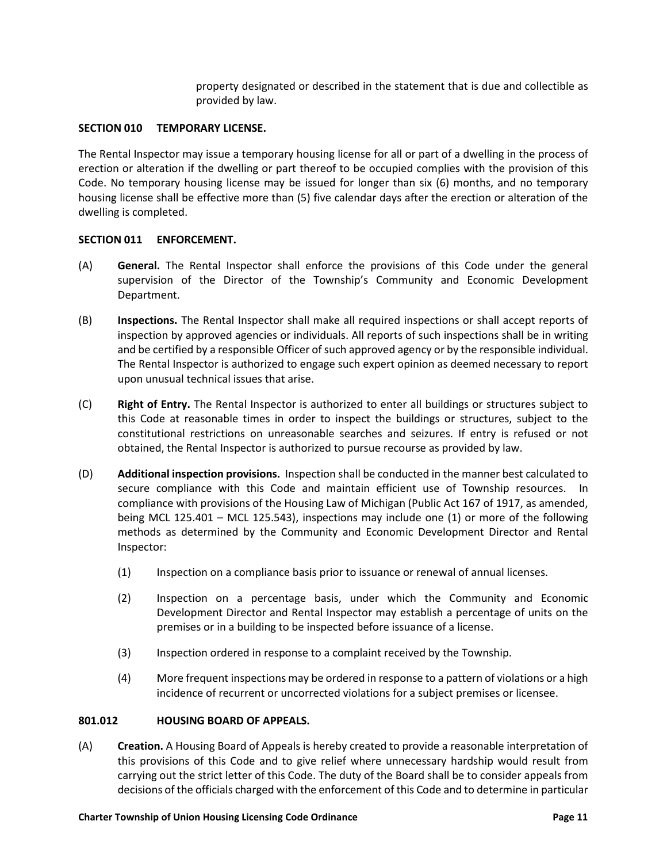property designated or described in the statement that is due and collectible as provided by law.

## **SECTION 010 TEMPORARY LICENSE.**

The Rental Inspector may issue a temporary housing license for all or part of a dwelling in the process of erection or alteration if the dwelling or part thereof to be occupied complies with the provision of this Code. No temporary housing license may be issued for longer than six (6) months, and no temporary housing license shall be effective more than (5) five calendar days after the erection or alteration of the dwelling is completed.

### **SECTION 011 ENFORCEMENT.**

- (A) **General.** The Rental Inspector shall enforce the provisions of this Code under the general supervision of the Director of the Township's Community and Economic Development Department.
- (B) **Inspections.** The Rental Inspector shall make all required inspections or shall accept reports of inspection by approved agencies or individuals. All reports of such inspections shall be in writing and be certified by a responsible Officer of such approved agency or by the responsible individual. The Rental Inspector is authorized to engage such expert opinion as deemed necessary to report upon unusual technical issues that arise.
- (C) **Right of Entry.** The Rental Inspector is authorized to enter all buildings or structures subject to this Code at reasonable times in order to inspect the buildings or structures, subject to the constitutional restrictions on unreasonable searches and seizures. If entry is refused or not obtained, the Rental Inspector is authorized to pursue recourse as provided by law.
- (D) **Additional inspection provisions.** Inspection shall be conducted in the manner best calculated to secure compliance with this Code and maintain efficient use of Township resources. In compliance with provisions of the Housing Law of Michigan (Public Act 167 of 1917, as amended, being MCL 125.401 – MCL 125.543), inspections may include one (1) or more of the following methods as determined by the Community and Economic Development Director and Rental Inspector:
	- (1) Inspection on a compliance basis prior to issuance or renewal of annual licenses.
	- (2) Inspection on a percentage basis, under which the Community and Economic Development Director and Rental Inspector may establish a percentage of units on the premises or in a building to be inspected before issuance of a license.
	- (3) Inspection ordered in response to a complaint received by the Township.
	- (4) More frequent inspections may be ordered in response to a pattern of violations or a high incidence of recurrent or uncorrected violations for a subject premises or licensee.

## **801.012 HOUSING BOARD OF APPEALS.**

(A) **Creation.** A Housing Board of Appeals is hereby created to provide a reasonable interpretation of this provisions of this Code and to give relief where unnecessary hardship would result from carrying out the strict letter of this Code. The duty of the Board shall be to consider appeals from decisions of the officials charged with the enforcement of this Code and to determine in particular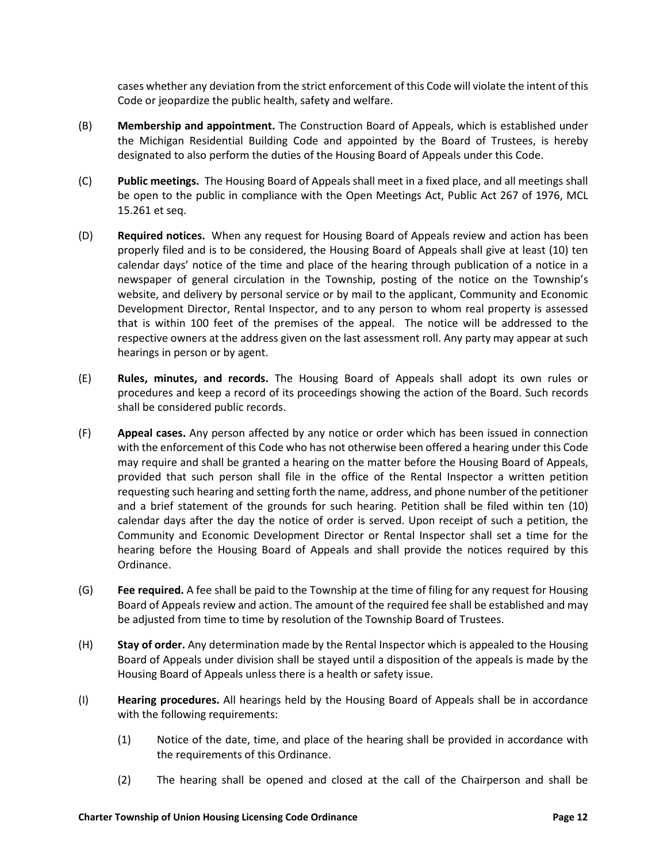cases whether any deviation from the strict enforcement of this Code will violate the intent of this Code or jeopardize the public health, safety and welfare.

- (B) **Membership and appointment.** The Construction Board of Appeals, which is established under the Michigan Residential Building Code and appointed by the Board of Trustees, is hereby designated to also perform the duties of the Housing Board of Appeals under this Code.
- (C) **Public meetings.** The Housing Board of Appeals shall meet in a fixed place, and all meetings shall be open to the public in compliance with the Open Meetings Act, Public Act 267 of 1976, MCL 15.261 et seq.
- (D) **Required notices.** When any request for Housing Board of Appeals review and action has been properly filed and is to be considered, the Housing Board of Appeals shall give at least (10) ten calendar days' notice of the time and place of the hearing through publication of a notice in a newspaper of general circulation in the Township, posting of the notice on the Township's website, and delivery by personal service or by mail to the applicant, Community and Economic Development Director, Rental Inspector, and to any person to whom real property is assessed that is within 100 feet of the premises of the appeal. The notice will be addressed to the respective owners at the address given on the last assessment roll. Any party may appear at such hearings in person or by agent.
- (E) **Rules, minutes, and records.** The Housing Board of Appeals shall adopt its own rules or procedures and keep a record of its proceedings showing the action of the Board. Such records shall be considered public records.
- (F) **Appeal cases.** Any person affected by any notice or order which has been issued in connection with the enforcement of this Code who has not otherwise been offered a hearing under this Code may require and shall be granted a hearing on the matter before the Housing Board of Appeals, provided that such person shall file in the office of the Rental Inspector a written petition requesting such hearing and setting forth the name, address, and phone number of the petitioner and a brief statement of the grounds for such hearing. Petition shall be filed within ten (10) calendar days after the day the notice of order is served. Upon receipt of such a petition, the Community and Economic Development Director or Rental Inspector shall set a time for the hearing before the Housing Board of Appeals and shall provide the notices required by this Ordinance.
- (G) **Fee required.** A fee shall be paid to the Township at the time of filing for any request for Housing Board of Appeals review and action. The amount of the required fee shall be established and may be adjusted from time to time by resolution of the Township Board of Trustees.
- (H) **Stay of order.** Any determination made by the Rental Inspector which is appealed to the Housing Board of Appeals under division shall be stayed until a disposition of the appeals is made by the Housing Board of Appeals unless there is a health or safety issue.
- (I) **Hearing procedures.** All hearings held by the Housing Board of Appeals shall be in accordance with the following requirements:
	- (1) Notice of the date, time, and place of the hearing shall be provided in accordance with the requirements of this Ordinance.
	- (2) The hearing shall be opened and closed at the call of the Chairperson and shall be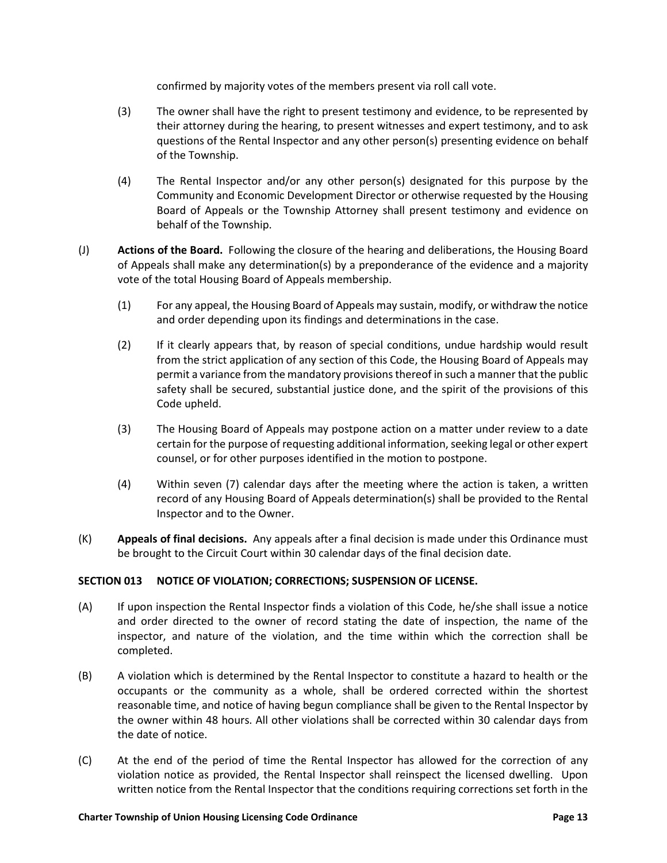confirmed by majority votes of the members present via roll call vote.

- (3) The owner shall have the right to present testimony and evidence, to be represented by their attorney during the hearing, to present witnesses and expert testimony, and to ask questions of the Rental Inspector and any other person(s) presenting evidence on behalf of the Township.
- (4) The Rental Inspector and/or any other person(s) designated for this purpose by the Community and Economic Development Director or otherwise requested by the Housing Board of Appeals or the Township Attorney shall present testimony and evidence on behalf of the Township.
- (J) **Actions of the Board.** Following the closure of the hearing and deliberations, the Housing Board of Appeals shall make any determination(s) by a preponderance of the evidence and a majority vote of the total Housing Board of Appeals membership.
	- (1) For any appeal, the Housing Board of Appeals may sustain, modify, or withdraw the notice and order depending upon its findings and determinations in the case.
	- (2) If it clearly appears that, by reason of special conditions, undue hardship would result from the strict application of any section of this Code, the Housing Board of Appeals may permit a variance from the mandatory provisions thereof in such a manner that the public safety shall be secured, substantial justice done, and the spirit of the provisions of this Code upheld.
	- (3) The Housing Board of Appeals may postpone action on a matter under review to a date certain for the purpose of requesting additional information, seeking legal or other expert counsel, or for other purposes identified in the motion to postpone.
	- (4) Within seven (7) calendar days after the meeting where the action is taken, a written record of any Housing Board of Appeals determination(s) shall be provided to the Rental Inspector and to the Owner.
- (K) **Appeals of final decisions.** Any appeals after a final decision is made under this Ordinance must be brought to the Circuit Court within 30 calendar days of the final decision date.

# **SECTION 013 NOTICE OF VIOLATION; CORRECTIONS; SUSPENSION OF LICENSE.**

- (A) If upon inspection the Rental Inspector finds a violation of this Code, he/she shall issue a notice and order directed to the owner of record stating the date of inspection, the name of the inspector, and nature of the violation, and the time within which the correction shall be completed.
- (B) A violation which is determined by the Rental Inspector to constitute a hazard to health or the occupants or the community as a whole, shall be ordered corrected within the shortest reasonable time, and notice of having begun compliance shall be given to the Rental Inspector by the owner within 48 hours. All other violations shall be corrected within 30 calendar days from the date of notice.
- (C) At the end of the period of time the Rental Inspector has allowed for the correction of any violation notice as provided, the Rental Inspector shall reinspect the licensed dwelling. Upon written notice from the Rental Inspector that the conditions requiring corrections set forth in the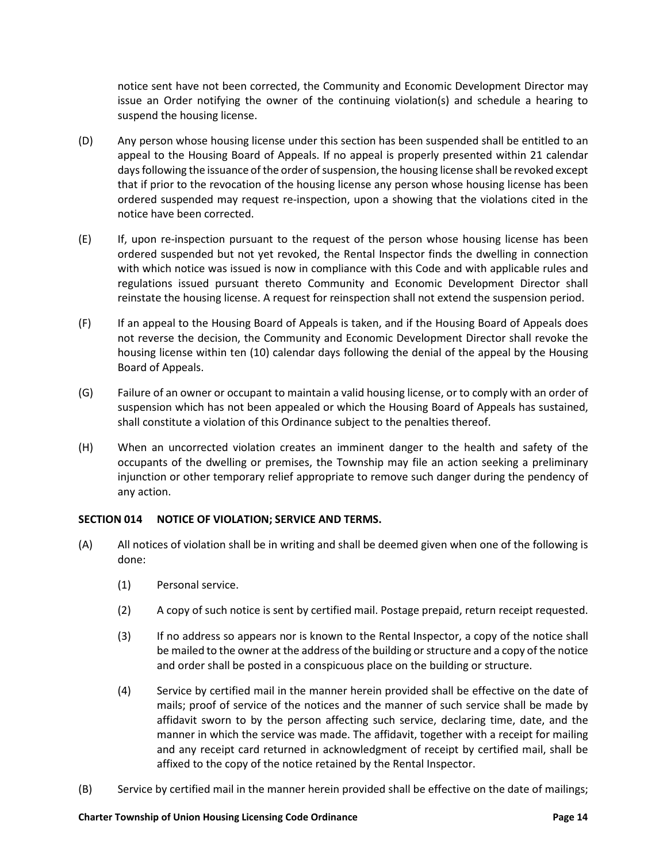notice sent have not been corrected, the Community and Economic Development Director may issue an Order notifying the owner of the continuing violation(s) and schedule a hearing to suspend the housing license.

- (D) Any person whose housing license under this section has been suspended shall be entitled to an appeal to the Housing Board of Appeals. If no appeal is properly presented within 21 calendar days following the issuance of the order of suspension, the housing license shall be revoked except that if prior to the revocation of the housing license any person whose housing license has been ordered suspended may request re-inspection, upon a showing that the violations cited in the notice have been corrected.
- (E) If, upon re-inspection pursuant to the request of the person whose housing license has been ordered suspended but not yet revoked, the Rental Inspector finds the dwelling in connection with which notice was issued is now in compliance with this Code and with applicable rules and regulations issued pursuant thereto Community and Economic Development Director shall reinstate the housing license. A request for reinspection shall not extend the suspension period.
- (F) If an appeal to the Housing Board of Appeals is taken, and if the Housing Board of Appeals does not reverse the decision, the Community and Economic Development Director shall revoke the housing license within ten (10) calendar days following the denial of the appeal by the Housing Board of Appeals.
- (G) Failure of an owner or occupant to maintain a valid housing license, or to comply with an order of suspension which has not been appealed or which the Housing Board of Appeals has sustained, shall constitute a violation of this Ordinance subject to the penalties thereof.
- (H) When an uncorrected violation creates an imminent danger to the health and safety of the occupants of the dwelling or premises, the Township may file an action seeking a preliminary injunction or other temporary relief appropriate to remove such danger during the pendency of any action.

# **SECTION 014 NOTICE OF VIOLATION; SERVICE AND TERMS.**

- (A) All notices of violation shall be in writing and shall be deemed given when one of the following is done:
	- (1) Personal service.
	- (2) A copy of such notice is sent by certified mail. Postage prepaid, return receipt requested.
	- (3) If no address so appears nor is known to the Rental Inspector, a copy of the notice shall be mailed to the owner at the address of the building or structure and a copy of the notice and order shall be posted in a conspicuous place on the building or structure.
	- (4) Service by certified mail in the manner herein provided shall be effective on the date of mails; proof of service of the notices and the manner of such service shall be made by affidavit sworn to by the person affecting such service, declaring time, date, and the manner in which the service was made. The affidavit, together with a receipt for mailing and any receipt card returned in acknowledgment of receipt by certified mail, shall be affixed to the copy of the notice retained by the Rental Inspector.
- (B) Service by certified mail in the manner herein provided shall be effective on the date of mailings;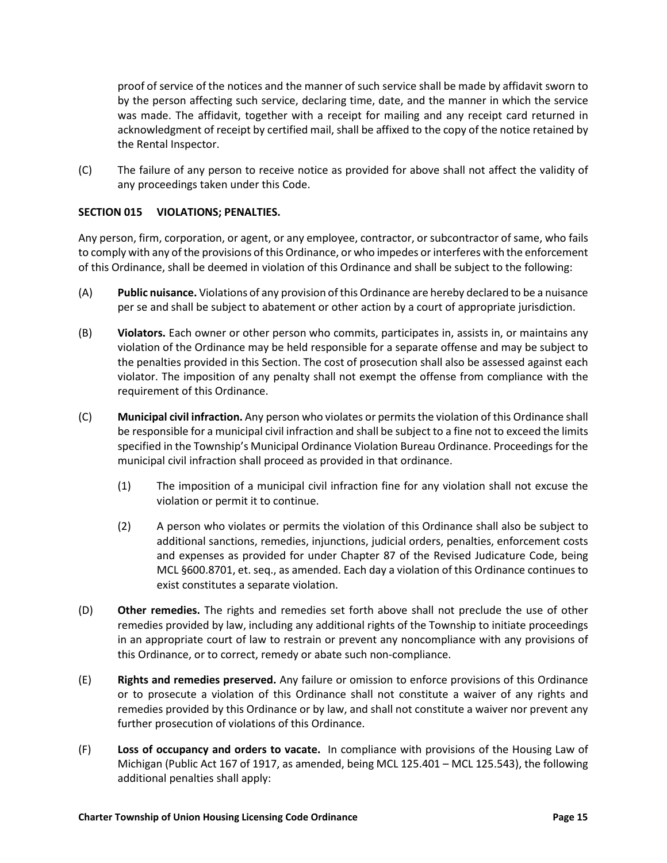proof of service of the notices and the manner of such service shall be made by affidavit sworn to by the person affecting such service, declaring time, date, and the manner in which the service was made. The affidavit, together with a receipt for mailing and any receipt card returned in acknowledgment of receipt by certified mail, shall be affixed to the copy of the notice retained by the Rental Inspector.

(C) The failure of any person to receive notice as provided for above shall not affect the validity of any proceedings taken under this Code.

# **SECTION 015 VIOLATIONS; PENALTIES.**

Any person, firm, corporation, or agent, or any employee, contractor, or subcontractor of same, who fails to comply with any of the provisions of this Ordinance, or who impedes or interferes with the enforcement of this Ordinance, shall be deemed in violation of this Ordinance and shall be subject to the following:

- (A) **Public nuisance.** Violations of any provision of this Ordinance are hereby declared to be a nuisance per se and shall be subject to abatement or other action by a court of appropriate jurisdiction.
- (B) **Violators.** Each owner or other person who commits, participates in, assists in, or maintains any violation of the Ordinance may be held responsible for a separate offense and may be subject to the penalties provided in this Section. The cost of prosecution shall also be assessed against each violator. The imposition of any penalty shall not exempt the offense from compliance with the requirement of this Ordinance.
- (C) **Municipal civil infraction.** Any person who violates or permits the violation of this Ordinance shall be responsible for a municipal civil infraction and shall be subject to a fine not to exceed the limits specified in the Township's Municipal Ordinance Violation Bureau Ordinance. Proceedings for the municipal civil infraction shall proceed as provided in that ordinance.
	- (1) The imposition of a municipal civil infraction fine for any violation shall not excuse the violation or permit it to continue.
	- (2) A person who violates or permits the violation of this Ordinance shall also be subject to additional sanctions, remedies, injunctions, judicial orders, penalties, enforcement costs and expenses as provided for under Chapter 87 of the Revised Judicature Code, being MCL §600.8701, et. seq., as amended. Each day a violation of this Ordinance continues to exist constitutes a separate violation.
- (D) **Other remedies.** The rights and remedies set forth above shall not preclude the use of other remedies provided by law, including any additional rights of the Township to initiate proceedings in an appropriate court of law to restrain or prevent any noncompliance with any provisions of this Ordinance, or to correct, remedy or abate such non-compliance.
- (E) **Rights and remedies preserved.** Any failure or omission to enforce provisions of this Ordinance or to prosecute a violation of this Ordinance shall not constitute a waiver of any rights and remedies provided by this Ordinance or by law, and shall not constitute a waiver nor prevent any further prosecution of violations of this Ordinance.
- (F) **Loss of occupancy and orders to vacate.** In compliance with provisions of the Housing Law of Michigan (Public Act 167 of 1917, as amended, being MCL 125.401 – MCL 125.543), the following additional penalties shall apply: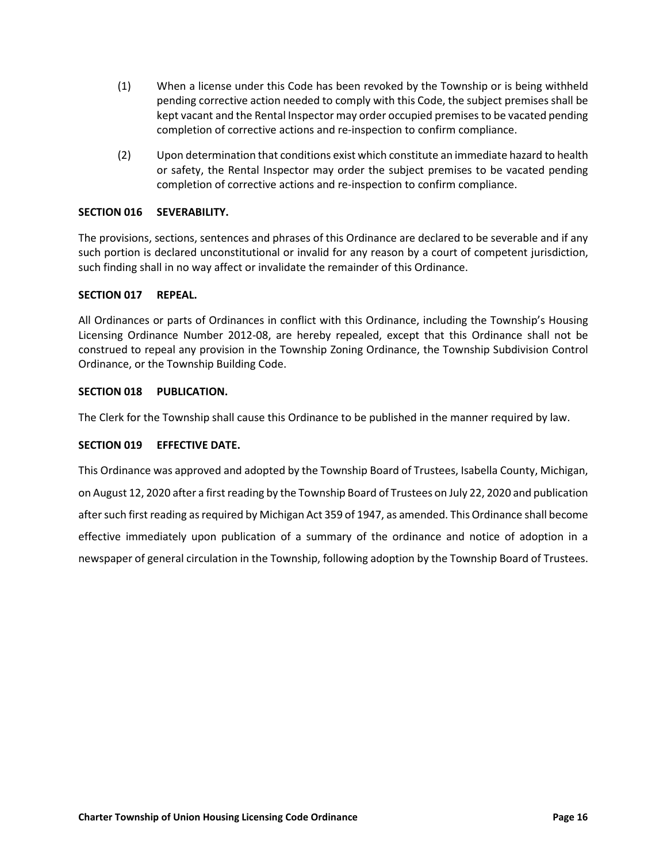- (1) When a license under this Code has been revoked by the Township or is being withheld pending corrective action needed to comply with this Code, the subject premises shall be kept vacant and the Rental Inspector may order occupied premises to be vacated pending completion of corrective actions and re-inspection to confirm compliance.
- (2) Upon determination that conditions exist which constitute an immediate hazard to health or safety, the Rental Inspector may order the subject premises to be vacated pending completion of corrective actions and re-inspection to confirm compliance.

# **SECTION 016 SEVERABILITY.**

The provisions, sections, sentences and phrases of this Ordinance are declared to be severable and if any such portion is declared unconstitutional or invalid for any reason by a court of competent jurisdiction, such finding shall in no way affect or invalidate the remainder of this Ordinance.

### **SECTION 017 REPEAL.**

All Ordinances or parts of Ordinances in conflict with this Ordinance, including the Township's Housing Licensing Ordinance Number 2012-08, are hereby repealed, except that this Ordinance shall not be construed to repeal any provision in the Township Zoning Ordinance, the Township Subdivision Control Ordinance, or the Township Building Code.

## **SECTION 018 PUBLICATION.**

The Clerk for the Township shall cause this Ordinance to be published in the manner required by law.

### **SECTION 019 EFFECTIVE DATE.**

This Ordinance was approved and adopted by the Township Board of Trustees, Isabella County, Michigan, on August 12, 2020 after a first reading by the Township Board of Trustees on July 22, 2020 and publication after such first reading as required by Michigan Act 359 of 1947, as amended. This Ordinance shall become effective immediately upon publication of a summary of the ordinance and notice of adoption in a newspaper of general circulation in the Township, following adoption by the Township Board of Trustees.